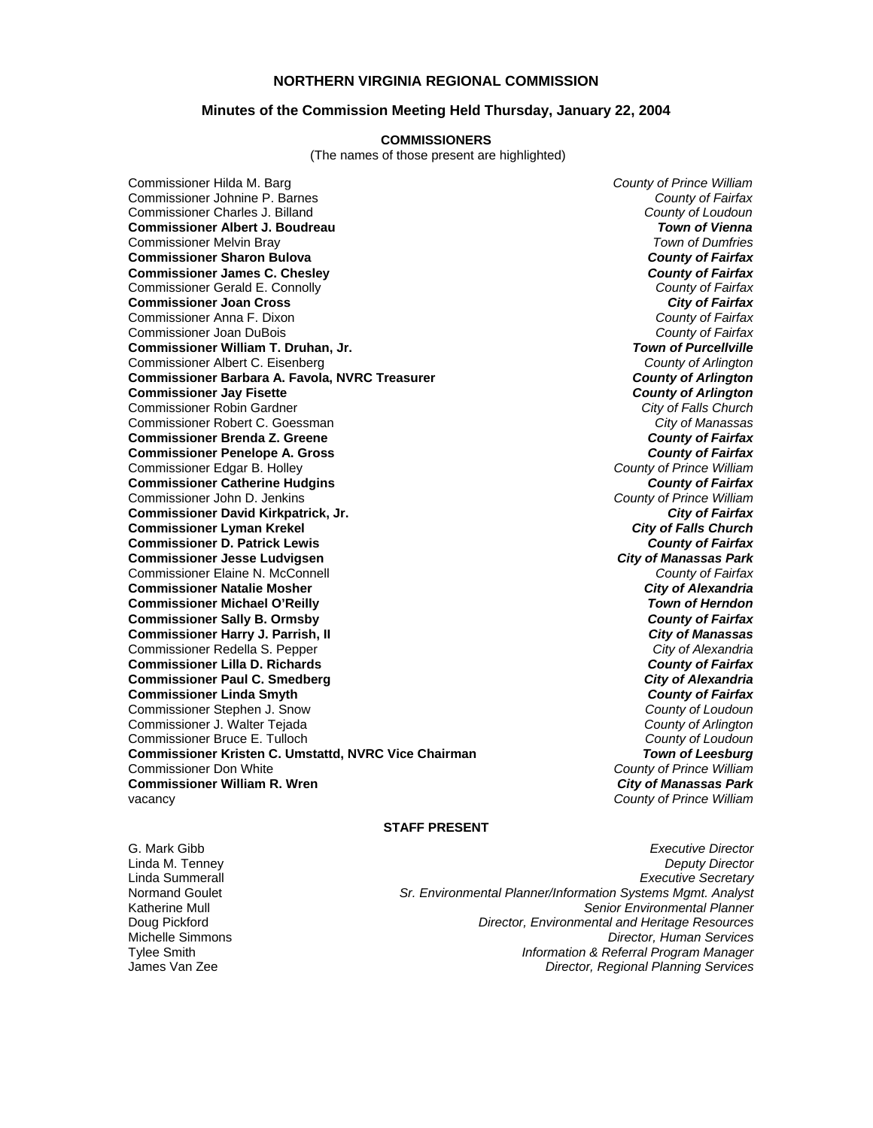## **NORTHERN VIRGINIA REGIONAL COMMISSION**

## **Minutes of the Commission Meeting Held Thursday, January 22, 2004**

#### **COMMISSIONERS**

(The names of those present are highlighted)

Commissioner Hilda M. Barg *County of Prince William* Commissioner Johnine P. Barnes *County of Fairfax* Commissioner Charles J. Billand *County of Loudoun* **Commissioner Albert J. Boudreau** *Town of Vienna* Commissioner Melvin Bray *Town of Dumfries* **Commissioner Sharon Bulova** *County of Fairfax* **Commissioner James C. Chesley** *County of Fairfax* Commissioner Gerald E. Connolly *County of Fairfax* **Commissioner Joan Cross** *City of Fairfax* Commissioner Anna F. Dixon *County of Fairfax* Commissioner Joan DuBois *County of Fairfax* **Commissioner William T. Druhan, Jr.** *Town of Purcellville* Commissioner Albert C. Eisenberg *County of Arlington* **Commissioner Barbara A. Favola, NVRC Treasurer** *County of Arlington* **Commissioner Jay Fisette** *County of Arlington* Commissioner Robin Gardner *City of Falls Church* Commissioner Robert C. Goessman *City of Manassas* **Commissioner Brenda Z. Greene** *County of Fairfax* **Commissioner Penelope A. Gross** *County of Fairfax* Commissioner Edgar B. Holley *County of Prince William* **Commissioner Catherine Hudgins** *County of Fairfax* Commissioner John D. Jenkins *County of Prince William* **Commissioner David Kirkpatrick, Jr. Commissioner Lyman Krekel** *City of Falls Church* **Commissioner D. Patrick Lewis** *County of Fairfax* **Commissioner Jesse Ludvigsen** *City of Manassas Park* Commissioner Elaine N. McConnell *County of Fairfax* **Commissioner Natalie Mosher** *City of Alexandria* **Commissioner Michael O'Reilly Commissioner Sally B. Ormsby** *County of Fairfax* **Commissioner Harry J. Parrish, II** *i**Commissioner Harry J. Parrish, II**City of Manassas***<br>
Commissioner Redella S. Pepper** Commissioner Redella S. Pepper **Commissioner Lilla D. Richards** *County of Fairfax* **Commissioner Paul C. Smedberg** *City of Alexandria* **Commissioner Linda Smyth** *County of Fairfax* Commissioner Stephen J. Snow *County of Loudoun* Commissioner J. Walter Tejada *County of Arlington* Commissioner Bruce E. Tulloch *County of Loudoun* **Commissioner Kristen C. Umstattd, NVRC Vice Chairman** *Commissioner Don White* **Commissioner William R. Wren** *City of Manassas Park* vacancy *County of Prince William*

**County of Prince William<br>City of Manassas Park** 

### **STAFF PRESENT**

G. Mark Gibb *Executive Director*

Linda M. Tenney *Deputy Director* Linda Summerall *Executive Secretary* Normand Goulet *Sr. Environmental Planner/Information Systems Mgmt. Analyst* **Senior Environmental Planner** Doug Pickford *Director, Environmental and Heritage Resources* Michelle Simmons *Director, Human Services* Tylee Smith *Information & Referral Program Manager* James Van Zee *Director, Regional Planning Services*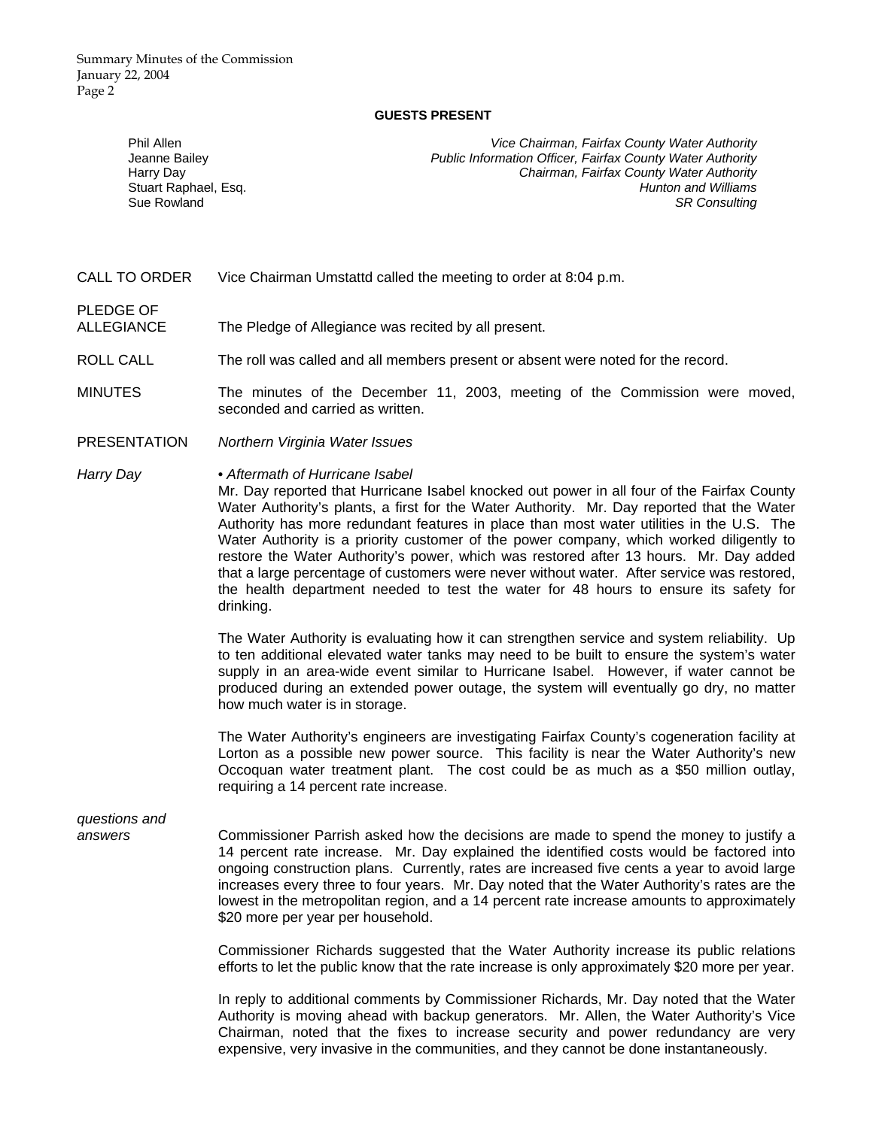Summary Minutes of the Commission January 22, 2004 Page 2

#### **GUESTS PRESENT**

Phil Allen *Vice Chairman, Fairfax County Water Authority* Jeanne Bailey *Public Information Officer, Fairfax County Water Authority* Harry Day *Chairman, Fairfax County Water Authority* Stuart Raphael, Esq. *Hunton and Williams* Sue Rowland *SR Consulting* 

CALL TO ORDER Vice Chairman Umstattd called the meeting to order at 8:04 p.m.

PLEDGE OF ALLEGIANCE The Pledge of Allegiance was recited by all present.

ROLL CALL The roll was called and all members present or absent were noted for the record.

MINUTES The minutes of the December 11, 2003, meeting of the Commission were moved, seconded and carried as written.

PRESENTATION *Northern Virginia Water Issues*

*Harry Day • Aftermath of Hurricane Isabel* 

Mr. Day reported that Hurricane Isabel knocked out power in all four of the Fairfax County Water Authority's plants, a first for the Water Authority. Mr. Day reported that the Water Authority has more redundant features in place than most water utilities in the U.S. The Water Authority is a priority customer of the power company, which worked diligently to restore the Water Authority's power, which was restored after 13 hours. Mr. Day added that a large percentage of customers were never without water. After service was restored, the health department needed to test the water for 48 hours to ensure its safety for drinking.

 The Water Authority is evaluating how it can strengthen service and system reliability. Up to ten additional elevated water tanks may need to be built to ensure the system's water supply in an area-wide event similar to Hurricane Isabel. However, if water cannot be produced during an extended power outage, the system will eventually go dry, no matter how much water is in storage.

 The Water Authority's engineers are investigating Fairfax County's cogeneration facility at Lorton as a possible new power source. This facility is near the Water Authority's new Occoquan water treatment plant. The cost could be as much as a \$50 million outlay, requiring a 14 percent rate increase.

## *questions and*

*answers* Commissioner Parrish asked how the decisions are made to spend the money to justify a 14 percent rate increase. Mr. Day explained the identified costs would be factored into ongoing construction plans. Currently, rates are increased five cents a year to avoid large increases every three to four years. Mr. Day noted that the Water Authority's rates are the lowest in the metropolitan region, and a 14 percent rate increase amounts to approximately \$20 more per year per household.

> Commissioner Richards suggested that the Water Authority increase its public relations efforts to let the public know that the rate increase is only approximately \$20 more per year.

> In reply to additional comments by Commissioner Richards, Mr. Day noted that the Water Authority is moving ahead with backup generators. Mr. Allen, the Water Authority's Vice Chairman, noted that the fixes to increase security and power redundancy are very expensive, very invasive in the communities, and they cannot be done instantaneously.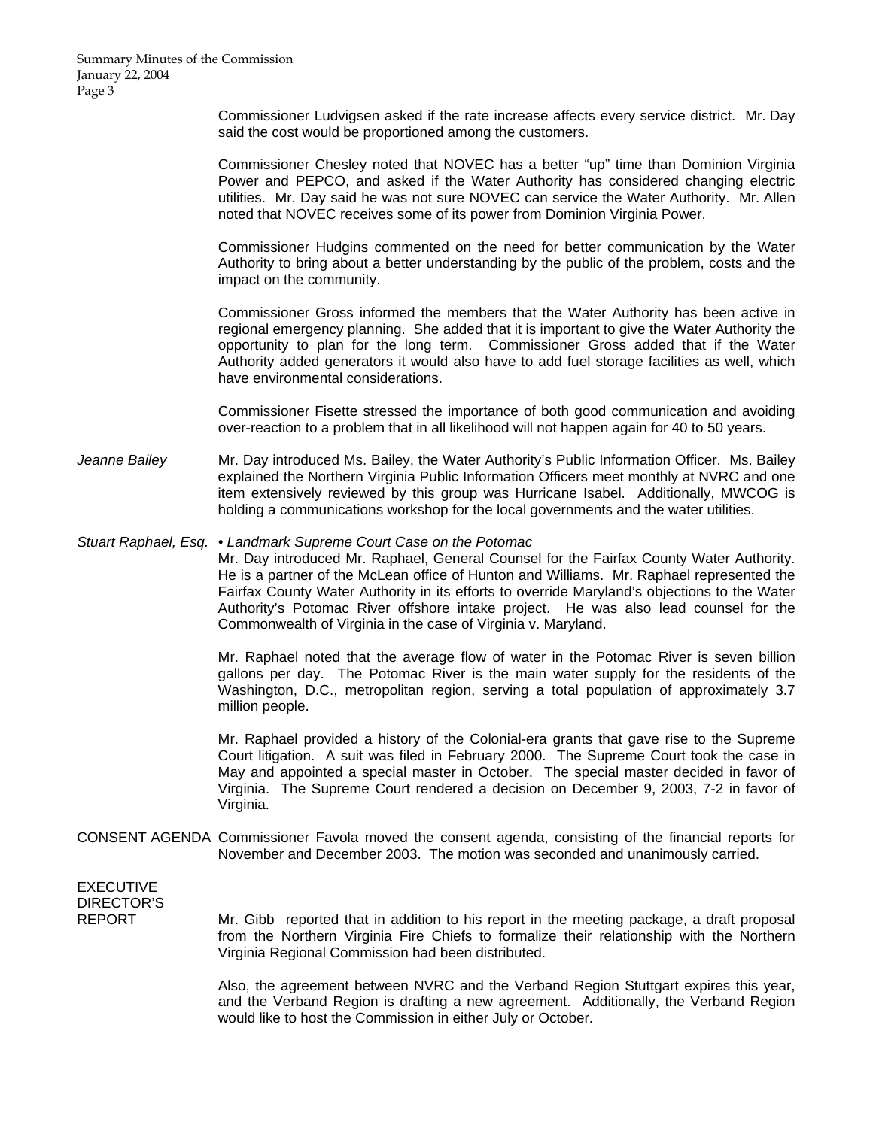Commissioner Ludvigsen asked if the rate increase affects every service district. Mr. Day said the cost would be proportioned among the customers.

Commissioner Chesley noted that NOVEC has a better "up" time than Dominion Virginia Power and PEPCO, and asked if the Water Authority has considered changing electric utilities. Mr. Day said he was not sure NOVEC can service the Water Authority. Mr. Allen noted that NOVEC receives some of its power from Dominion Virginia Power.

Commissioner Hudgins commented on the need for better communication by the Water Authority to bring about a better understanding by the public of the problem, costs and the impact on the community.

Commissioner Gross informed the members that the Water Authority has been active in regional emergency planning. She added that it is important to give the Water Authority the opportunity to plan for the long term. Commissioner Gross added that if the Water Authority added generators it would also have to add fuel storage facilities as well, which have environmental considerations.

Commissioner Fisette stressed the importance of both good communication and avoiding over-reaction to a problem that in all likelihood will not happen again for 40 to 50 years.

*Jeanne Bailey* Mr. Day introduced Ms. Bailey, the Water Authority's Public Information Officer. Ms. Bailey explained the Northern Virginia Public Information Officers meet monthly at NVRC and one item extensively reviewed by this group was Hurricane Isabel. Additionally, MWCOG is holding a communications workshop for the local governments and the water utilities.

### *Stuart Raphael, Esq. • Landmark Supreme Court Case on the Potomac*

Mr. Day introduced Mr. Raphael, General Counsel for the Fairfax County Water Authority. He is a partner of the McLean office of Hunton and Williams. Mr. Raphael represented the Fairfax County Water Authority in its efforts to override Maryland's objections to the Water Authority's Potomac River offshore intake project. He was also lead counsel for the Commonwealth of Virginia in the case of Virginia v. Maryland.

Mr. Raphael noted that the average flow of water in the Potomac River is seven billion gallons per day. The Potomac River is the main water supply for the residents of the Washington, D.C., metropolitan region, serving a total population of approximately 3.7 million people.

Mr. Raphael provided a history of the Colonial-era grants that gave rise to the Supreme Court litigation. A suit was filed in February 2000. The Supreme Court took the case in May and appointed a special master in October. The special master decided in favor of Virginia. The Supreme Court rendered a decision on December 9, 2003, 7-2 in favor of Virginia.

CONSENT AGENDA Commissioner Favola moved the consent agenda, consisting of the financial reports for November and December 2003. The motion was seconded and unanimously carried.

EXECUTIVE DIRECTOR'S

REPORT Mr. Gibb reported that in addition to his report in the meeting package, a draft proposal from the Northern Virginia Fire Chiefs to formalize their relationship with the Northern Virginia Regional Commission had been distributed.

> Also, the agreement between NVRC and the Verband Region Stuttgart expires this year, and the Verband Region is drafting a new agreement. Additionally, the Verband Region would like to host the Commission in either July or October.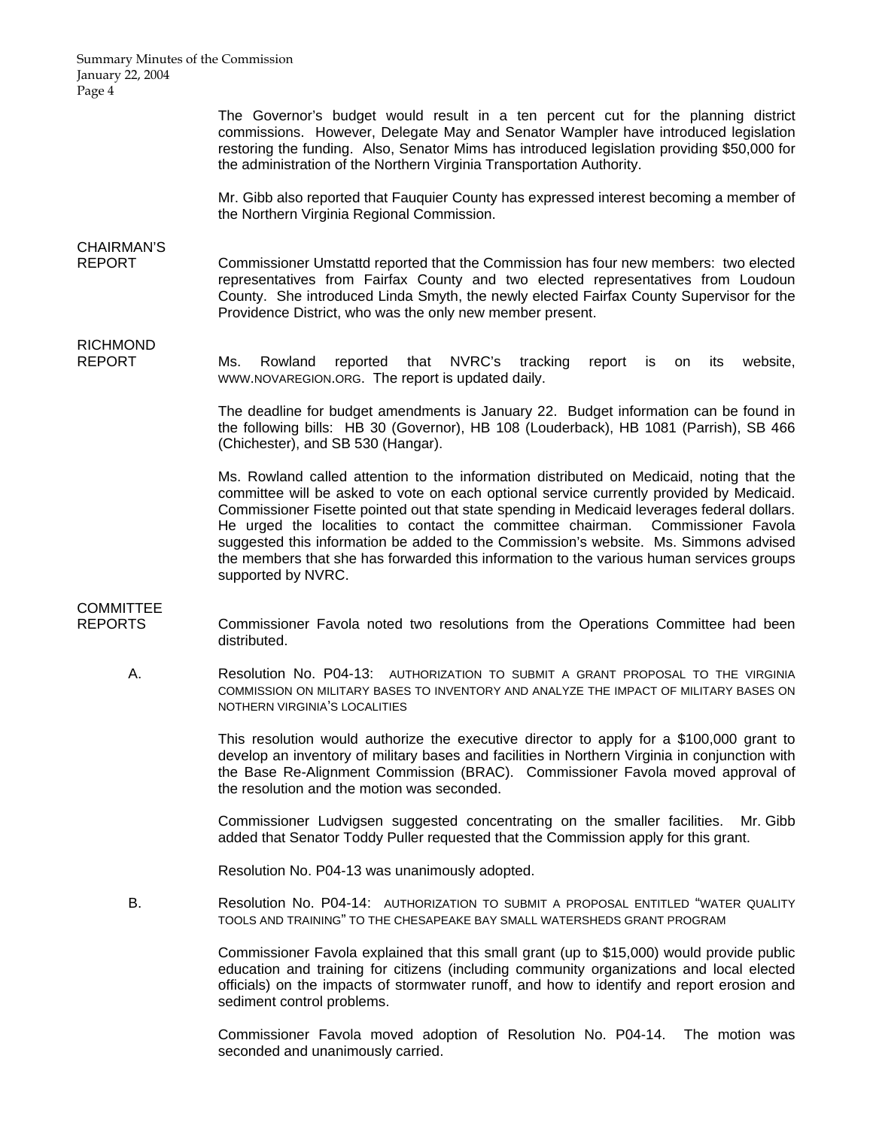Summary Minutes of the Commission January 22, 2004 Page 4

> The Governor's budget would result in a ten percent cut for the planning district commissions. However, Delegate May and Senator Wampler have introduced legislation restoring the funding. Also, Senator Mims has introduced legislation providing \$50,000 for the administration of the Northern Virginia Transportation Authority.

> Mr. Gibb also reported that Fauquier County has expressed interest becoming a member of the Northern Virginia Regional Commission.

# CHAIRMAN'S

REPORT Commissioner Umstattd reported that the Commission has four new members: two elected representatives from Fairfax County and two elected representatives from Loudoun County. She introduced Linda Smyth, the newly elected Fairfax County Supervisor for the Providence District, who was the only new member present.

## RICHMOND

REPORT Ms. Rowland reported that NVRC's tracking report is on its website, WWW.NOVAREGION.ORG. The report is updated daily.

> The deadline for budget amendments is January 22. Budget information can be found in the following bills: HB 30 (Governor), HB 108 (Louderback), HB 1081 (Parrish), SB 466 (Chichester), and SB 530 (Hangar).

> Ms. Rowland called attention to the information distributed on Medicaid, noting that the committee will be asked to vote on each optional service currently provided by Medicaid. Commissioner Fisette pointed out that state spending in Medicaid leverages federal dollars. He urged the localities to contact the committee chairman. Commissioner Favola suggested this information be added to the Commission's website. Ms. Simmons advised the members that she has forwarded this information to the various human services groups supported by NVRC.

## **COMMITTEE**

REPORTS Commissioner Favola noted two resolutions from the Operations Committee had been distributed.

 A. Resolution No. P04-13: AUTHORIZATION TO SUBMIT A GRANT PROPOSAL TO THE VIRGINIA COMMISSION ON MILITARY BASES TO INVENTORY AND ANALYZE THE IMPACT OF MILITARY BASES ON NOTHERN VIRGINIA'S LOCALITIES

> This resolution would authorize the executive director to apply for a \$100,000 grant to develop an inventory of military bases and facilities in Northern Virginia in conjunction with the Base Re-Alignment Commission (BRAC). Commissioner Favola moved approval of the resolution and the motion was seconded.

> Commissioner Ludvigsen suggested concentrating on the smaller facilities. Mr. Gibb added that Senator Toddy Puller requested that the Commission apply for this grant.

Resolution No. P04-13 was unanimously adopted.

B. Resolution No. P04-14: AUTHORIZATION TO SUBMIT A PROPOSAL ENTITLED "WATER QUALITY TOOLS AND TRAINING" TO THE CHESAPEAKE BAY SMALL WATERSHEDS GRANT PROGRAM

> Commissioner Favola explained that this small grant (up to \$15,000) would provide public education and training for citizens (including community organizations and local elected officials) on the impacts of stormwater runoff, and how to identify and report erosion and sediment control problems.

> Commissioner Favola moved adoption of Resolution No. P04-14. The motion was seconded and unanimously carried.